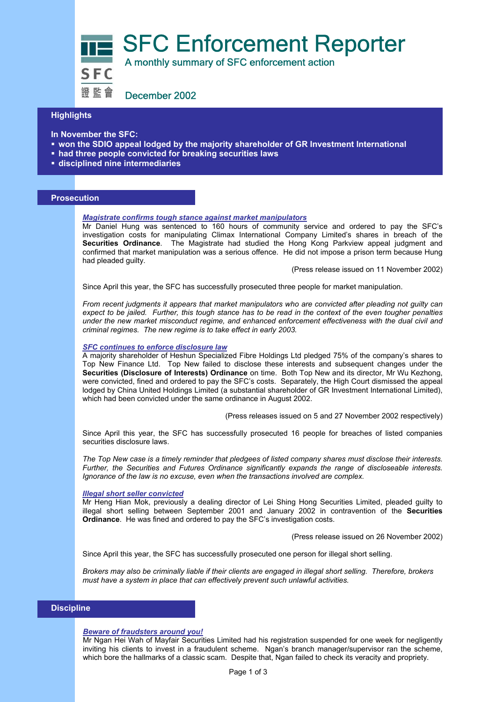SFC Enforcement Reporter<br>SFC A monthly summary of SFC enforcement action

證監會 December 2002

## **Highlights**

**In November the SFC:** 

- **won the SDIO appeal lodged by the majority shareholder of GR Investment International**
- **had three people convicted for breaking securities laws**
- **disciplined nine intermediaries**

## **Prosecution**

## *Magistrate confirms tough stance against market manipulators*

Mr Daniel Hung was sentenced to 160 hours of community service and ordered to pay the SFC's investigation costs for manipulating Climax International Company Limited's shares in breach of the **Securities Ordinance**. The Magistrate had studied the Hong Kong Parkview appeal judgment and confirmed that market manipulation was a serious offence. He did not impose a prison term because Hung had pleaded guilty.

(Press release issued on 11 November 2002)

Since April this year, the SFC has successfully prosecuted three people for market manipulation.

*From recent judgments it appears that market manipulators who are convicted after pleading not guilty can expect to be jailed. Further, this tough stance has to be read in the context of the even tougher penalties under the new market misconduct regime, and enhanced enforcement effectiveness with the dual civil and criminal regimes. The new regime is to take effect in early 2003.* 

## *SFC continues to enforce disclosure law*

A majority shareholder of Heshun Specialized Fibre Holdings Ltd pledged 75% of the company's shares to Top New Finance Ltd. Top New failed to disclose these interests and subsequent changes under the **Securities (Disclosure of Interests) Ordinance** on time. Both Top New and its director, Mr Wu Kezhong, were convicted, fined and ordered to pay the SFC's costs. Separately, the High Court dismissed the appeal lodged by China United Holdings Limited (a substantial shareholder of GR Investment International Limited), which had been convicted under the same ordinance in August 2002.

(Press releases issued on 5 and 27 November 2002 respectively)

Since April this year, the SFC has successfully prosecuted 16 people for breaches of listed companies securities disclosure laws.

*The Top New case is a timely reminder that pledgees of listed company shares must disclose their interests. Further, the Securities and Futures Ordinance significantly expands the range of discloseable interests. Ignorance of the law is no excuse, even when the transactions involved are complex.* 

#### *Illegal short seller convicted*

Mr Heng Hian Mok, previously a dealing director of Lei Shing Hong Securities Limited, pleaded guilty to illegal short selling between September 2001 and January 2002 in contravention of the **Securities Ordinance**. He was fined and ordered to pay the SFC's investigation costs.

(Press release issued on 26 November 2002)

Since April this year, the SFC has successfully prosecuted one person for illegal short selling.

*Brokers may also be criminally liable if their clients are engaged in illegal short selling. Therefore, brokers must have a system in place that can effectively prevent such unlawful activities.* 

## **Discipline**

## *Beware of fraudsters around you!*

Mr Ngan Hei Wah of Mayfair Securities Limited had his registration suspended for one week for negligently inviting his clients to invest in a fraudulent scheme. Ngan's branch manager/supervisor ran the scheme, which bore the hallmarks of a classic scam. Despite that, Ngan failed to check its veracity and propriety.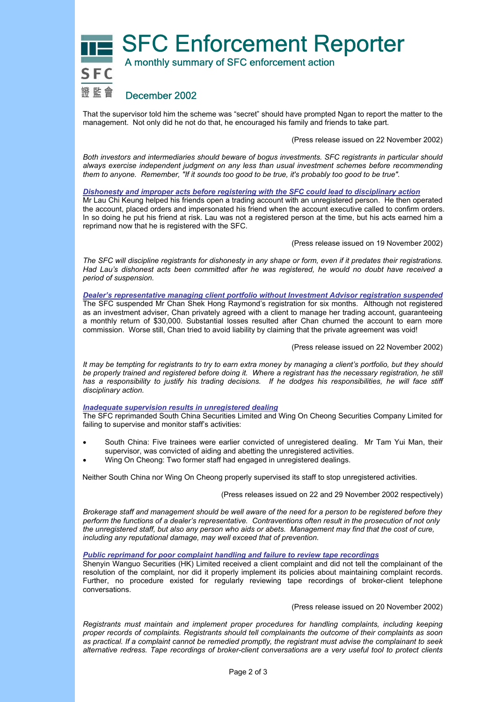**SFC Enforcement Reporter** 



That the supervisor told him the scheme was "secret" should have prompted Ngan to report the matter to the management. Not only did he not do that, he encouraged his family and friends to take part.

(Press release issued on 22 November 2002)

*Both investors and intermediaries should beware of bogus investments. SFC registrants in particular should always exercise independent judgment on any less than usual investment schemes before recommending them to anyone. Remember, "If it sounds too good to be true, it's probably too good to be true".* 

*Dishonesty and improper acts before registering with the SFC could lead to disciplinary action*

Mr Lau Chi Keung helped his friends open a trading account with an unregistered person. He then operated the account, placed orders and impersonated his friend when the account executive called to confirm orders. In so doing he put his friend at risk. Lau was not a registered person at the time, but his acts earned him a reprimand now that he is registered with the SFC.

(Press release issued on 19 November 2002)

*The SFC will discipline registrants for dishonesty in any shape or form, even if it predates their registrations. Had Lau's dishonest acts been committed after he was registered, he would no doubt have received a period of suspension.* 

*Dealer's representative managing client portfolio without Investment Advisor registration suspended* The SFC suspended Mr Chan Shek Hong Raymond's registration for six months. Although not registered as an investment adviser, Chan privately agreed with a client to manage her trading account, guaranteeing a monthly return of \$30,000. Substantial losses resulted after Chan churned the account to earn more commission. Worse still, Chan tried to avoid liability by claiming that the private agreement was void!

(Press release issued on 22 November 2002)

*It may be tempting for registrants to try to earn extra money by managing a client's portfolio, but they should be properly trained and registered before doing it. Where a registrant has the necessary registration, he still*  has a responsibility to justify his trading decisions. If he dodges his responsibilities, he will face stiff *disciplinary action.* 

*Inadequate supervision results in unregistered dealing*

The SFC reprimanded South China Securities Limited and Wing On Cheong Securities Company Limited for failing to supervise and monitor staff's activities:

- South China: Five trainees were earlier convicted of unregistered dealing. Mr Tam Yui Man, their supervisor, was convicted of aiding and abetting the unregistered activities.
- Wing On Cheong: Two former staff had engaged in unregistered dealings.

Neither South China nor Wing On Cheong properly supervised its staff to stop unregistered activities.

(Press releases issued on 22 and 29 November 2002 respectively)

*Brokerage staff and management should be well aware of the need for a person to be registered before they perform the functions of a dealer's representative. Contraventions often result in the prosecution of not only the unregistered staff, but also any person who aids or abets. Management may find that the cost of cure, including any reputational damage, may well exceed that of prevention.* 

### *Public reprimand for poor complaint handling and failure to review tape recordings*

Shenyin Wanguo Securities (HK) Limited received a client complaint and did not tell the complainant of the resolution of the complaint, nor did it properly implement its policies about maintaining complaint records. Further, no procedure existed for regularly reviewing tape recordings of broker-client telephone conversations.

(Press release issued on 20 November 2002)

*Registrants must maintain and implement proper procedures for handling complaints, including keeping proper records of complaints. Registrants should tell complainants the outcome of their complaints as soon as practical. If a complaint cannot be remedied promptly, the registrant must advise the complainant to seek alternative redress. Tape recordings of broker-client conversations are a very useful tool to protect clients*